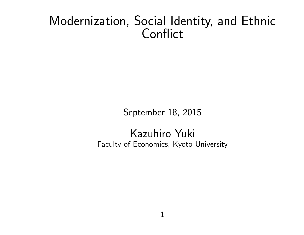# Modernization, Social Identity, and Ethnic **Conflict**

September 18, 2015

Kazuhiro Yuki Faculty of Economics, Kyoto University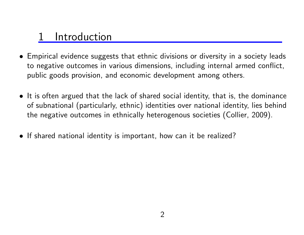## **Introduction**

- *•* Empirical evidence suggests that ethnic divisions or diversity in a society leads to negative outcomes in various dimensions, including internal armed conflict, public goods provision, and economic development among others.
- *•* It is often argued that the lack of shared social identity, that is, the dominance of subnational (particularly, ethnic) identities over national identity, lies behind the negative outcomes in ethnically heterogenous societies (Collier, 2009).
- *•* If shared national identity is important, how can it be realized?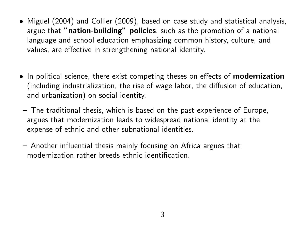- *•* Miguel (2004) and Collier (2009), based on case study and statistical analysis, argue that **"nation-building" policies**, such as the promotion of a national language and school education emphasizing common history, culture, and values, are effective in strengthening national identity.
- *•* In political science, there exist competing theses on effects of **modernization** (including industrialization, the rise of wage labor, the diffusion of education, and urbanization) on social identity.
- **–** The traditional thesis, which is based on the past experience of Europe, argues that modernization leads to widespread national identity at the expense of ethnic and other subnational identities.
- **–** Another influential thesis mainly focusing on Africa argues that modernization rather breeds ethnic identification.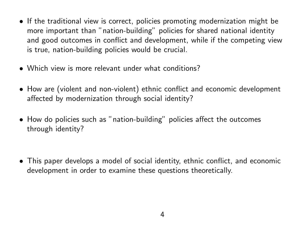- If the traditional view is correct, policies promoting modernization might be more important than "nation-building" policies for shared national identity and good outcomes in conflict and development, while if the competing view is true, nation-building policies would be crucial.
- *•* Which view is more relevant under what conditions?
- *•* How are (violent and non-violent) ethnic conflict and economic development affected by modernization through social identity?
- *•* How do policies such as "nation-building" policies affect the outcomes through identity?
- *•* This paper develops a model of social identity, ethnic conflict, and economic development in order to examine these questions theoretically.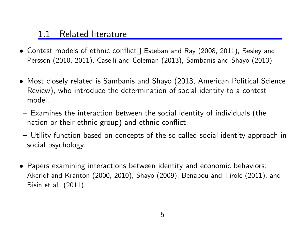#### 1.1 Related literature

- *•* Contest models of ethnic conflict Esteban and Ray (2008, 2011), Besley and Persson (2010, 2011), Caselli and Coleman (2013), Sambanis and Shayo (2013)
- *•* Most closely related is Sambanis and Shayo (2013, American Political Science Review), who introduce the determination of social identity to a contest model.
- **–** Examines the interaction between the social identity of individuals (the nation or their ethnic group) and ethnic conflict.
- **–** Utility function based on concepts of the so-called social identity approach in social psychology.
- *•* Papers examining interactions between identity and economic behaviors: Akerlof and Kranton (2000, 2010), Shayo (2009), Benabou and Tirole (2011), and Bisin et al. (2011).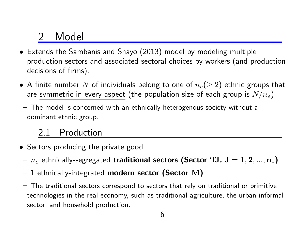## Model

- *•* Extends the Sambanis and Shayo (2013) model by modeling multiple production sectors and associated sectoral choices by workers (and production decisions of firms).
- *•* A finite number *N* of individuals belong to one of *n<sup>e</sup>* (*≥* 2) ethnic groups that are symmetric in every aspect (the population size of each group is  $N/n_e)$
- **–** The model is concerned with an ethnically heterogenous society without a dominant ethnic group.

### Production

- *•* Sectors producing the private good
- **–** *n<sup>e</sup>* ethnically-segregated **traditional sectors (Sector TJ, J** = **1***,* **2***, ...,* **n***<sup>e</sup>* **)**
- **–** 1 ethnically-integrated **modern sector (Sector M)**
- **–** The traditional sectors correspond to sectors that rely on traditional or primitive technologies in the real economy, such as traditional agriculture, the urban informal sector, and household production.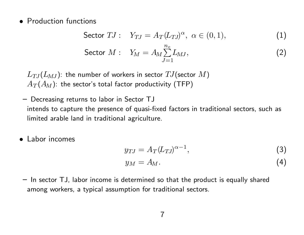*•* Production functions

$$
\text{Sector } TJ: \quad Y_{TJ} = A_T (L_{TJ})^{\alpha}, \ \alpha \in (0, 1), \tag{1}
$$

$$
\text{Sector } M: \quad Y_M = A_M \sum_{J=1}^{n_e} L_{MJ}, \tag{2}
$$

 $L_{TJ}(L_{MJ})$ : the number of workers in sector  $TJ$ (sector  $M$ )  $A_T(A_M)$ : the sector's total factor productivity (TFP)

- **–** Decreasing returns to labor in Sector TJ intends to capture the presence of quasi-fixed factors in traditional sectors, such as limited arable land in traditional agriculture.
- *•* Labor incomes

$$
y_{TJ} = A_T (L_{TJ})^{\alpha - 1},
$$
  
\n
$$
y_M = A_M.
$$
\n(3)

**–** In sector TJ, labor income is determined so that the product is equally shared among workers, a typical assumption for traditional sectors.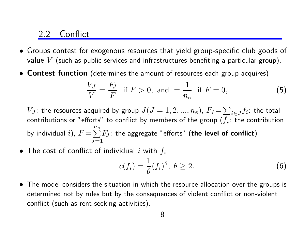#### 2.2 Conflict

- *•* Groups contest for exogenous resources that yield group-specific club goods of value *V* (such as public services and infrastructures benefiting a particular group).
- *•* **Contest function** (determines the amount of resources each group acquires)

$$
\frac{V_J}{V} = \frac{F_J}{F} \text{ if } F > 0, \text{ and } = \frac{1}{n_e} \text{ if } F = 0,
$$
 (5)

*V*<sub>*J*</sub>: the resources acquired by group  $J(J = 1, 2, ..., n_e)$ ,  $F_J = \sum$  $\displaystyle\inf_{i\in J}f_i$ : the total contributions or "efforts" to conflict by members of the group  $(f_i\colon \thinspace$  the contribution by individual  $i$ ),  $F$   $=$   $\sum$ *n<sup>e</sup> J*=1 *F<sup>J</sup>* : the aggregate "efforts" (**the level of conflict**)

*•* The cost of conflict of individual *i* with *f<sup>i</sup>*

$$
c(f_i) = \frac{1}{\theta}(f_i)^{\theta}, \ \theta \ge 2. \tag{6}
$$

*•* The model considers the situation in which the resource allocation over the groups is determined not by rules but by the consequences of violent conflict or non-violent conflict (such as rent-seeking activities).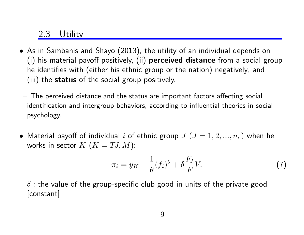#### 2.3 Utility

- *•* As in Sambanis and Shayo (2013), the utility of an individual depends on (i) his material payoff positively, (ii) **perceived distance** from a social group he identifies with (either his ethnic group or the nation) negatively, and (iii) the **status** of the social group positively.
- **–** The perceived distance and the status are important factors affecting social identification and intergroup behaviors, according to influential theories in social psychology.
- Material payoff of individual *i* of ethnic group  $J$   $(J = 1, 2, ..., n_e)$  when he works in sector  $K$   $(K = TJ, M)$ :

$$
\pi_i = y_K - \frac{1}{\theta} (f_i)^{\theta} + \delta \frac{F_J}{F} V. \tag{7}
$$

*δ* : the value of the group-specific club good in units of the private good [constant]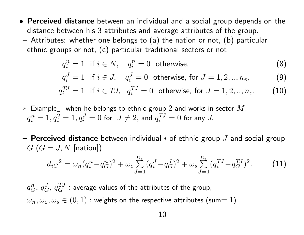*•* **Perceived distance** between an individual and a social group depends on the distance between his 3 attributes and average attributes of the group. **–** Attributes: whether one belongs to (a) the nation or not, (b) particular

ethnic groups or not, (c) particular traditional sectors or not

$$
q_i^n = 1 \text{ if } i \in N, \quad q_i^n = 0 \text{ otherwise,}
$$
 (8)

$$
q_i^J = 1
$$
 if  $i \in J$ ,  $q_i^J = 0$  otherwise, for  $J = 1, 2, ..., n_e$ , (9)

$$
q_i^{TJ} = 1
$$
 if  $i \in TJ$ ,  $q_i^{TJ} = 0$  otherwise, for  $J = 1, 2, ..., n_e$ . (10)

- *∗* Example when he belongs to ethnic group 2 and works in sector *M*,  $q_i^n$  $a_i^n = 1, q_i^2 = 1, q_i^J = 0$  for  $J \neq 2$ , and  $q_i^{TJ}$  $i^{TJ}=0$  for any  $J$ .
- **– Perceived distance** between individual *i* of ethnic group *J* and social group  $G(G = J, N \text{ [nation]})$

$$
d_{iG}^{2} = \omega_{n} (q_{i}^{n} - q_{G}^{n})^{2} + \omega_{e} \sum_{J=1}^{n_{e}} (q_{i}^{J} - q_{G}^{J})^{2} + \omega_{s} \sum_{J=1}^{n_{e}} (q_{i}^{TJ} - q_{G}^{TJ})^{2}.
$$
 (11)

 $q_G^n,\,q_G^J,\,q_G^{TJ}$  : average values of the attributes of the group,  $\omega_n, \omega_e, \omega_s \in (0,1)$  : weights on the respective attributes (sum= 1)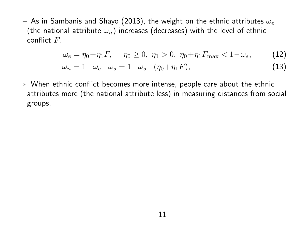**–** As in Sambanis and Shayo (2013), the weight on the ethnic attributes *ω<sup>e</sup>* (the national attribute  $\omega_n$ ) increases (decreases) with the level of ethnic conflict *F.*

$$
\omega_e = \eta_0 + \eta_1 F, \quad \eta_0 \ge 0, \ \eta_1 > 0, \ \eta_0 + \eta_1 F_{\text{max}} < 1 - \omega_s, \tag{12}
$$

$$
\omega_n = 1 - \omega_e - \omega_s = 1 - \omega_s - (\eta_0 + \eta_1 F), \tag{13}
$$

*∗* When ethnic conflict becomes more intense, people care about the ethnic attributes more (the national attribute less) in measuring distances from social groups.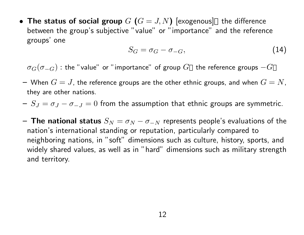• The status of social group  $G(G = J, N)$  [exogenous] the difference between the group's subjective "value" or "importance" and the reference groups' one

$$
S_G = \sigma_G - \sigma_{-G},\tag{14}
$$

 $\sigma$ <sub>*G*</sub>( $\sigma$ <sup>*−G*) : the "value" or "importance" of group  $G$  the reference groups  $-G$ </sup>

- $G = J$ , the reference groups are the other ethnic groups, and when  $G = N$ , they are other nations.
- **–** *S<sup>J</sup>* = *σ<sup>J</sup> − σ−<sup>J</sup>* = 0 from the assumption that ethnic groups are symmetric.
- **The national status**  $S_N = \sigma_N \sigma_{-N}$  represents people's evaluations of the nation's international standing or reputation, particularly compared to neighboring nations, in "soft" dimensions such as culture, history, sports, and widely shared values, as well as in "hard" dimensions such as military strength and territory.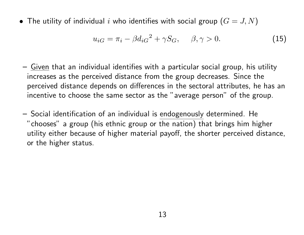• The utility of individual *i* who identifies with social group  $(G = J, N)$ 

$$
u_{iG} = \pi_i - \beta d_{iG}^2 + \gamma S_G, \quad \beta, \gamma > 0.
$$
 (15)

- **–** Given that an individual identifies with a particular social group, his utility increases as the perceived distance from the group decreases. Since the perceived distance depends on differences in the sectoral attributes, he has an incentive to choose the same sector as the "average person" of the group.
- **–** Social identification of an individual is endogenously determined. He "chooses" a group (his ethnic group or the nation) that brings him higher utility either because of higher material payoff, the shorter perceived distance, or the higher status.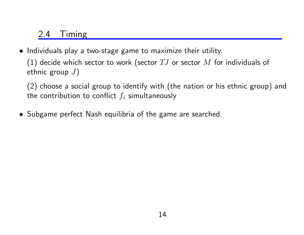### 2.4 Timing

*•* Individuals play a two-stage game to maximize their utility.

(1) decide which sector to work (sector *TJ* or sector *M* for individuals of ethnic group *J*)

(2) choose a social group to identify with (the nation or his ethnic group) and the contribution to conflict  $f_i$  simultaneously

*•* Subgame perfect Nash equilibria of the game are searched.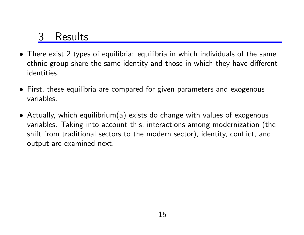## **Results**

- *•* There exist 2 types of equilibria: equilibria in which individuals of the same ethnic group share the same identity and those in which they have different identities.
- *•* First, these equilibria are compared for given parameters and exogenous variables.
- *•* Actually, which equilibrium(a) exists do change with values of exogenous variables. Taking into account this, interactions among modernization (the shift from traditional sectors to the modern sector), identity, conflict, and output are examined next.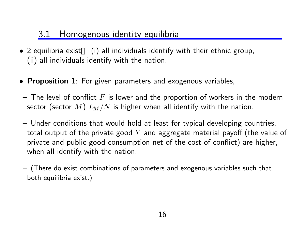### 3.1 Homogenous identity equilibria

- *•* 2 equilibria exist (i) all individuals identify with their ethnic group, (ii) all individuals identify with the nation.
- *•* **Proposition 1**: For given parameters and exogenous variables,
- **–** The level of conflict *F* is lower and the proportion of workers in the modern sector (sector *M*) *LM/N* is higher when all identify with the nation.
- **–** Under conditions that would hold at least for typical developing countries, total output of the private good *Y* and aggregate material payoff (the value of private and public good consumption net of the cost of conflict) are higher, when all identify with the nation.
- **–** (There do exist combinations of parameters and exogenous variables such that both equilibria exist.)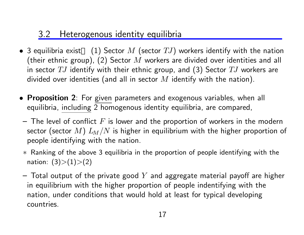### 3.2 Heterogenous identity equilibria

- *•* 3 equilibria exist (1) Sector *M* (sector *TJ*) workers identify with the nation (their ethnic group), (2) Sector *M* workers are divided over identities and all in sector *TJ* identify with their ethnic group, and (3) Sector *TJ* workers are divided over identities (and all in sector *M* identify with the nation).
- *•* **Proposition 2**: For given parameters and exogenous variables, when all equilibria, including 2 homogenous identity equilibria, are compared,
- **–** The level of conflict *F* is lower and the proportion of workers in the modern sector (sector *M*) *LM/N* is higher in equilibrium with the higher proportion of people identifying with the nation.
- *∗* Ranking of the above 3 equilibria in the proportion of people identifying with the nation: (3)*>*(1)*>*(2)
- **–** Total output of the private good *Y* and aggregate material payoff are higher in equilibrium with the higher proportion of people indentifying with the nation, under conditions that would hold at least for typical developing countries.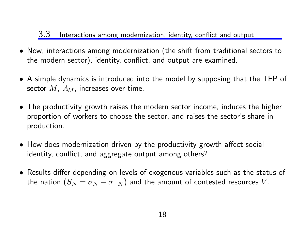#### 3.3 Interactions among modernization, identity, conflict and output

- *•* Now, interactions among modernization (the shift from traditional sectors to the modern sector), identity, conflict, and output are examined.
- *•* A simple dynamics is introduced into the model by supposing that the TFP of sector *M*, *AM*, increases over time.
- *•* The productivity growth raises the modern sector income, induces the higher proportion of workers to choose the sector, and raises the sector's share in production.
- *•* How does modernization driven by the productivity growth affect social identity, conflict, and aggregate output among others?
- *•* Results differ depending on levels of exogenous variables such as the status of the nation  $(S_N = \sigma_N - \sigma_{-N})$  and the amount of contested resources *V*.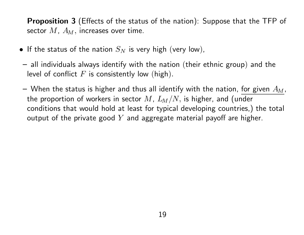**Proposition 3** (Effects of the status of the nation): Suppose that the TFP of sector *M*, *AM,* increases over time.

- If the status of the nation  $S_N$  is very high (very low),
- **–** all individuals always identify with the nation (their ethnic group) and the level of conflict *F* is consistently low (high)*.*
- **–** When the status is higher and thus all identify with the nation, for given *AM*, the proportion of workers in sector *M*, *LM/N,* is higher, and (under conditions that would hold at least for typical developing countries,) the total output of the private good *Y* and aggregate material payoff are higher.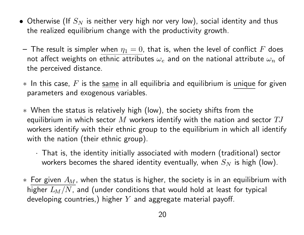- Otherwise (If  $S_N$  is neither very high nor very low), social identity and thus the realized equilibrium change with the productivity growth.
- $-$  The result is simpler when  $\eta_1 = 0$ , that is, when the level of conflict F does not affect weights on ethnic attributes  $\omega_e$  and on the national attribute  $\omega_n$  of the perceived distance.
- *∗* In this case, *F* is the same in all equilibria and equilibrium is unique for given parameters and exogenous variables.
- *∗* When the status is relatively high (low), the society shifts from the equilibrium in which sector *M* workers identify with the nation and sector *TJ* workers identify with their ethnic group to the equilibrium in which all identify with the nation (their ethnic group).
	- *·* That is, the identity initially associated with modern (traditional) sector workers becomes the shared identity eventually, when  $S_N$  is high (low).
- *∗* For given *A<sup>M</sup>* , when the status is higher, the society is in an equilibrium with higher *LM/N*, and (under conditions that would hold at least for typical developing countries,) higher *Y* and aggregate material payoff.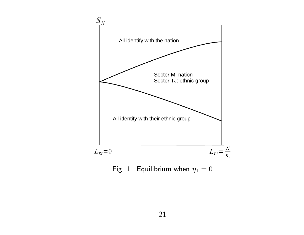

Fig. 1 Equilibrium when  $\eta_1 = 0$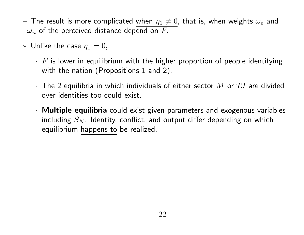- $-$  The result is more complicated <u>when  $\eta_1 \neq 0$ ,</u> that is, when weights  $\omega_e$  and  $\omega_n$  of the perceived distance depend on  $F.$
- $*$  Unlike the case  $\eta_1 = 0$ ,
	- *· F* is lower in equilibrium with the higher proportion of people identifying with the nation (Propositions 1 and 2).
	- *·* The 2 equilibria in which individuals of either sector *M* or *TJ* are divided over identities too could exist.
	- *·* **Multiple equilibria** could exist given parameters and exogenous variables including  $S_N$ . Identity, conflict, and output differ depending on which equilibrium happens to be realized.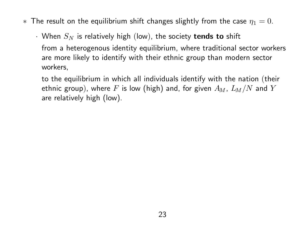- $*$  The result on the equilibrium shift changes slightly from the case  $\eta_1 = 0$ .
	- *·* When *S<sup>N</sup>* is relatively high (low), the society **tends to** shift from a heterogenous identity equilibrium, where traditional sector workers are more likely to identify with their ethnic group than modern sector workers,
		- to the equilibrium in which all individuals identify with the nation (their ethnic group), where *F* is low (high) and, for given *AM*, *LM/N* and *Y* are relatively high (low).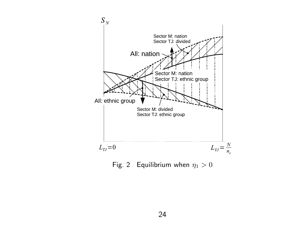

Fig. 2 Equilibrium when  $\eta_1 > 0$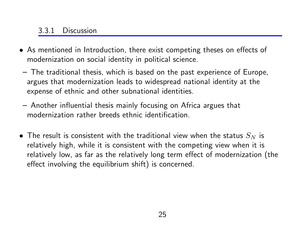#### 3.3.1 Discussion

- *•* As mentioned in Introduction, there exist competing theses on effects of modernization on social identity in political science.
- **–** The traditional thesis, which is based on the past experience of Europe, argues that modernization leads to widespread national identity at the expense of ethnic and other subnational identities.
- **–** Another influential thesis mainly focusing on Africa argues that modernization rather breeds ethnic identification.
- The result is consistent with the traditional view when the status  $S_N$  is relatively high, while it is consistent with the competing view when it is relatively low, as far as the relatively long term effect of modernization (the effect involving the equilibrium shift) is concerned.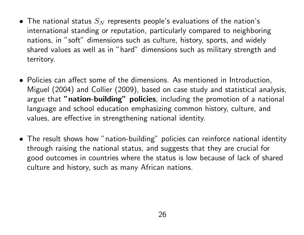- The national status  $S_N$  represents people's evaluations of the nation's international standing or reputation, particularly compared to neighboring nations, in "soft" dimensions such as culture, history, sports, and widely shared values as well as in "hard" dimensions such as military strength and territory.
- *•* Policies can affect some of the dimensions. As mentioned in Introduction, Miguel (2004) and Collier (2009), based on case study and statistical analysis, argue that **"nation-building" policies**, including the promotion of a national language and school education emphasizing common history, culture, and values, are effective in strengthening national identity.
- The result shows how "nation-building" policies can reinforce national identity through raising the national status, and suggests that they are crucial for good outcomes in countries where the status is low because of lack of shared culture and history, such as many African nations.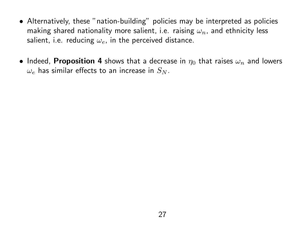- Alternatively, these "nation-building" policies may be interpreted as policies making shared nationality more salient, i.e. raising *ωn*, and ethnicity less salient, i.e. reducing *ωe*, in the perceived distance.
- Indeed, **Proposition 4** shows that a decrease in  $\eta_0$  that raises  $\omega_n$  and lowers  $\omega_e$  has similar effects to an increase in  $S_N$ .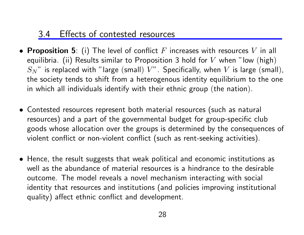### 3.4 Effects of contested resources

- *•* **Proposition 5**: (i) The level of conflict *F* increases with resources *V* in all equilibria. (ii) Results similar to Proposition 3 hold for *V* when "low (high)  $S_N$ " is replaced with "large (small)  $V$ ". Specifically, when  $V$  is large (small), the society tends to shift from a heterogenous identity equilibrium to the one in which all individuals identify with their ethnic group (the nation).
- *•* Contested resources represent both material resources (such as natural resources) and a part of the governmental budget for group-specific club goods whose allocation over the groups is determined by the consequences of violent conflict or non-violent conflict (such as rent-seeking activities).
- *•* Hence, the result suggests that weak political and economic institutions as well as the abundance of material resources is a hindrance to the desirable outcome. The model reveals a novel mechanism interacting with social identity that resources and institutions (and policies improving institutional quality) affect ethnic conflict and development.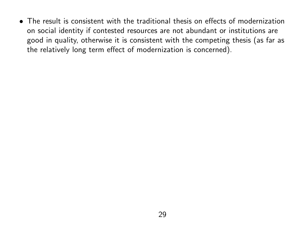*•* The result is consistent with the traditional thesis on effects of modernization on social identity if contested resources are not abundant or institutions are good in quality, otherwise it is consistent with the competing thesis (as far as the relatively long term effect of modernization is concerned).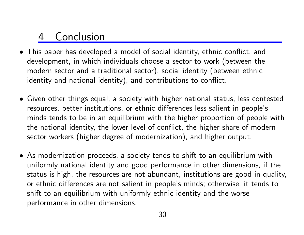## **Conclusion**

- *•* This paper has developed a model of social identity, ethnic conflict, and development, in which individuals choose a sector to work (between the modern sector and a traditional sector), social identity (between ethnic identity and national identity), and contributions to conflict.
- *•* Given other things equal, a society with higher national status, less contested resources, better institutions, or ethnic differences less salient in people's minds tends to be in an equilibrium with the higher proportion of people with the national identity, the lower level of conflict, the higher share of modern sector workers (higher degree of modernization), and higher output.
- *•* As modernization proceeds, a society tends to shift to an equilibrium with uniformly national identity and good performance in other dimensions, if the status is high, the resources are not abundant, institutions are good in quality, or ethnic differences are not salient in people's minds; otherwise, it tends to shift to an equilibrium with uniformly ethnic identity and the worse performance in other dimensions.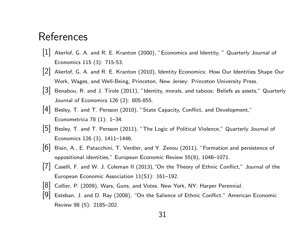### References

- [1] Akerlof, G. A. and R. E. Kranton (2000), "Economics and Identity, " Quarterly Journal of Economics 115 (3): 715-53.
- [2] Akerlof, G. A. and R. E. Kranton (2010), Identity Economics: How Our Identities Shape Our Work, Wages, and Well-Being, Princeton, New Jersey: Princeton University Press.
- $[3]$  Benabou, R. and J. Tirole  $(2011)$ , "Identity, morals, and taboos: Beliefs as assets," Quarterly Journal of Economics 126 (2): 805-855.
- [4] Besley, T. and T. Persson (2010), "State Capacity, Conflict, and Development," Econometrica 78 (1): 1–34.
- [5] Besley, T. and T. Persson (2011), "The Logic of Political Violence," Quarterly Journal of Economics 126 (3), 1411–1446.
- [6] Bisin, A., E. Patacchini, T. Verdier, and Y. Zenou (2011), "Formation and persistence of oppositional identities," European Economic Review 55(8), 1046–1071.
- [7] Caselli, F. and W. J. Coleman II (2013),"On the Theory of Ethnic Conflict," Journal of the European Economic Association 11(S1): 161–192.
- [8] Collier, P. (2009), Wars, Guns, and Votes. New York, NY: Harper Perennial.
- [9] Esteban, J. and D. Ray (2008), "On the Salience of Ethnic Conflict." American Economic Review 98 (5): 2185–202.